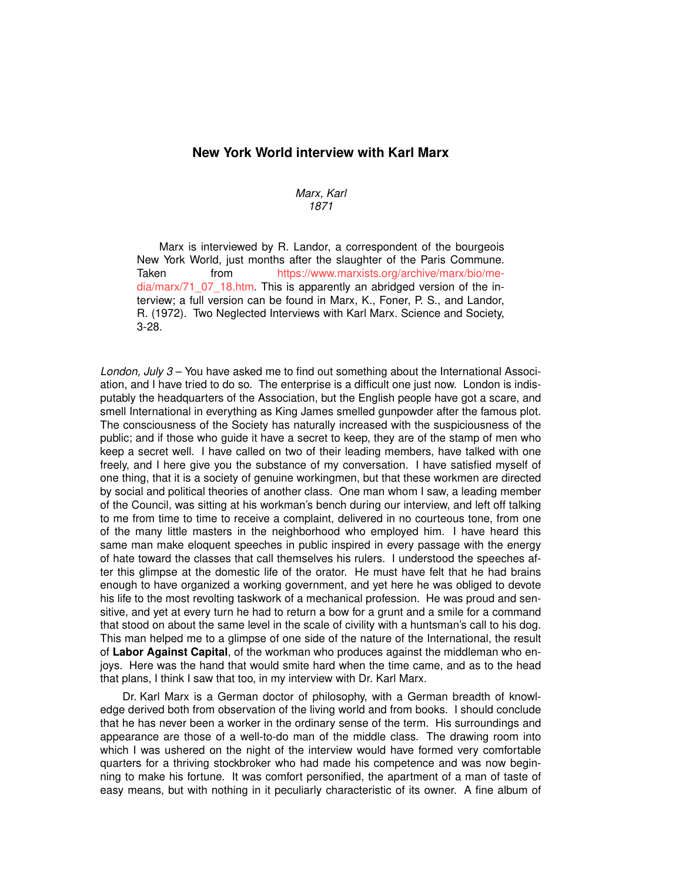## **New York World interview with Karl Marx**

## Marx, Karl 1871

Marx is interviewed by R. Landor, a correspondent of the bourgeois New York World, just months after the slaughter of the Paris Commune. Taken from [https://www.marxists.org/archive/marx/bio/me](https://www.marxists.org/archive/marx/bio/media/marx/71_07_18.htm)[dia/marx/71\\_07\\_18.htm](https://www.marxists.org/archive/marx/bio/media/marx/71_07_18.htm). This is apparently an abridged version of the interview; a full version can be found in Marx, K., Foner, P. S., and Landor, R. (1972). Two Neglected Interviews with Karl Marx. Science and Society, 3-28.

London, July  $3 -$  You have asked me to find out something about the International Association, and I have tried to do so. The enterprise is a difficult one just now. London is indisputably the headquarters of the Association, but the English people have got a scare, and smell International in everything as King James smelled gunpowder after the famous plot. The consciousness of the Society has naturally increased with the suspiciousness of the public; and if those who guide it have a secret to keep, they are of the stamp of men who keep a secret well. I have called on two of their leading members, have talked with one freely, and I here give you the substance of my conversation. I have satisfied myself of one thing, that it is a society of genuine workingmen, but that these workmen are directed by social and political theories of another class. One man whom I saw, a leading member of the Council, was sitting at his workman's bench during our interview, and left off talking to me from time to time to receive a complaint, delivered in no courteous tone, from one of the many little masters in the neighborhood who employed him. I have heard this same man make eloquent speeches in public inspired in every passage with the energy of hate toward the classes that call themselves his rulers. I understood the speeches after this glimpse at the domestic life of the orator. He must have felt that he had brains enough to have organized a working government, and yet here he was obliged to devote his life to the most revolting taskwork of a mechanical profession. He was proud and sensitive, and yet at every turn he had to return a bow for a grunt and a smile for a command that stood on about the same level in the scale of civility with a huntsman's call to his dog. This man helped me to a glimpse of one side of the nature of the International, the result of Labor Against Capital, of the workman who produces against the middleman who enjoys. Here was the hand that would smite hard when the time came, and as to the head that plans, I think I saw that too, in my interview with Dr. Karl Marx.

Dr. Karl Marx is a German doctor of philosophy, with a German breadth of knowledge derived both from observation of the living world and from books. I should conclude that he has never been a worker in the ordinary sense of the term. His surroundings and appearance are those of a well-to-do man of the middle class. The drawing room into which I was ushered on the night of the interview would have formed very comfortable quarters for a thriving stockbroker who had made his competence and was now beginning to make his fortune. It was comfort personified, the apartment of a man of taste of easy means, but with nothing in it peculiarly characteristic of its owner. A fine album of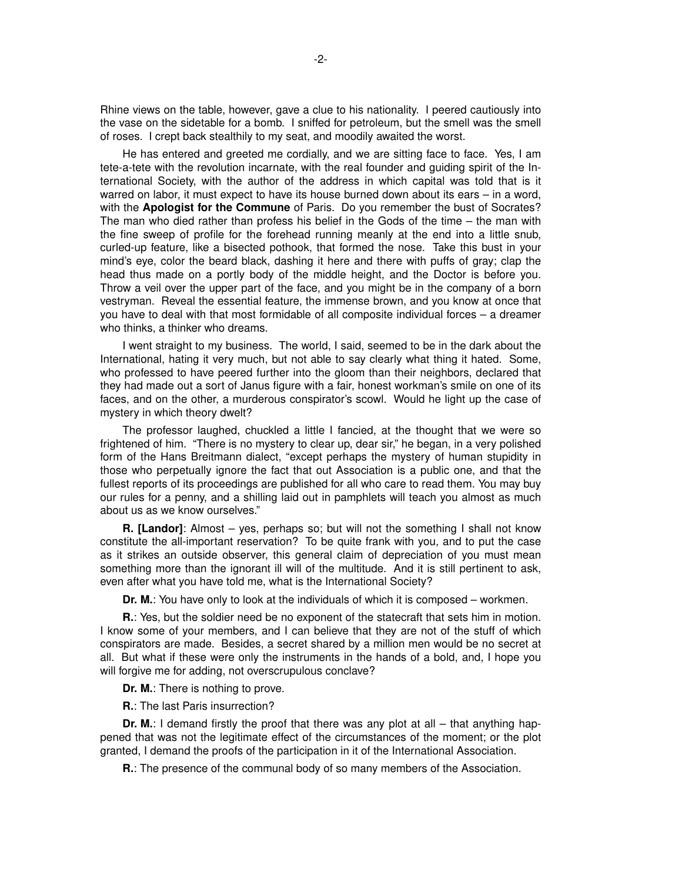Rhine views on the table, however, gave a clue to his nationality. I peered cautiously into the vase on the sidetable for a bomb. I sniffed for petroleum, but the smell was the smell of roses. I crept back stealthily to my seat, and moodily awaited the worst.

He has entered and greeted me cordially, and we are sitting face to face. Yes, I am tete-a-tete with the revolution incarnate, with the real founder and guiding spirit of the International Society, with the author of the address in which capital was told that is it warred on labor, it must expect to have its house burned down about its ears – in a word, with the **Apologist for the Commune** of Paris. Do you remember the bust of Socrates? The man who died rather than profess his belief in the Gods of the time – the man with the fine sweep of profile for the forehead running meanly at the end into a little snub, curled-up feature, like a bisected pothook, that formed the nose. Take this bust in your mind's eye , color the beard black, dashing it here and there with puffs of gray; clap the head thus made on a portly body of the middle height, and the Doctor is before you. Throw a veil over the upper part of the face, and you might be in the company of a born vestryman. Reveal the essential feature, the immense brown, and you know at once that you have to deal with that most for midable of all composite individual forces – a dreamer who thinks, a thinker who dreams.

I went straight to my business. The world, I said, seemed to be in the dark about the International, hating it very much, but not able to say clearly what thing it hated. Some, who professed to have peered further into the gloom than their neighbors, declared that they had made out a sort of Janus figure with a fair, honest workman's smile on one of its faces, and on the other, a murderous conspirator's scowl. Would he light up the case of mystery in which theory dwelt?

The professor laughed, chuckled a little I fancied, at the thought that we were so frightened of him. "There is no mystery to clear up, dear sir," he began, in a very polished form of the Hans Breitmann dialect, "except perhaps the mystery of human stupidity in those who perpetually ignore the fact that out Association is a public one, and that the fullest reports of its proceedings are published for all who care to read them. You may buy our rules for a penny, and a shilling laid out in pamphlets will teach you almost as much about us as we know ourselves."

**R. [Landor]**: Almost – yes, perhaps so; but will not the something I shall not know constitute the all-important reservation? To be quite frank with you, and to put the case as it strikes an outside observer, this general claim of depreciation of you must mean something more than the ignorant ill will of the multitude. And it is still pertinent to ask, even after what you have told me, what is the International Society?

**Dr. M.:** You have only to look at the individuals of which it is composed – workmen.

**R.**: Yes, but the soldier need be no exponent of the statecraft that sets him in motion. I know some of your members, and I can believe that they are not of the stuff of which conspirators are made. Besides, a secret shared by a million men would be no secret at all. But what if these were only the instruments in the hands of a bold, and, I hope you will forgive me for adding, not overscrupulous conclave?

**Dr. M.:** There is nothing to prove.

**R.**: The last Paris insurrection?

**Dr. M.:** I demand firstly the proof that there was any plot at all – that anything happened that was not the legitimate effect of the circumstances of the moment; or the plot granted, I demand the proofs of the participation in it of the International Association.

**R.**: The presence of the communal body of so many members of the Association.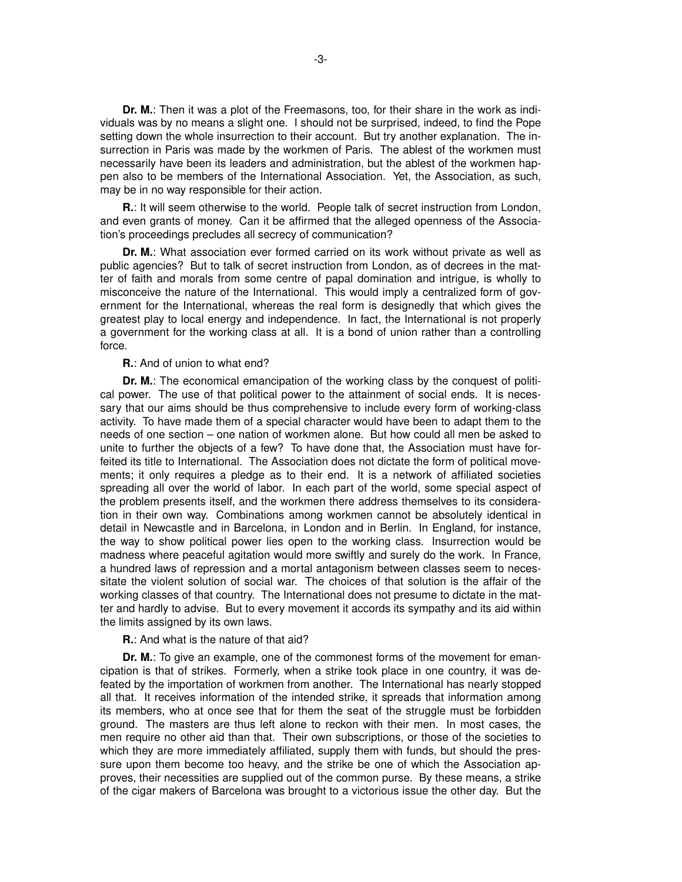**Dr. M.:** Then it was a plot of the Freemasons, too, for their share in the work as individuals was by no means a slight one. I should not be surprised, indeed, to find the Pope setting down the whole insurrection to their account. But try another explanation. The insurrection in Paris was made by the workmen of Paris. The ablest of the workmen must necessarily have been its leaders and administration, but the ablest of the workmen happen also to be members of the International Association. Yet, the Association, as such, may be in no way responsible for their action.

**R.**: It will seem otherwise to the world. People talk of secret instruction from London, and even grants of money. Can it be affirmed that the alleged openness of the Association's proceedings precludes all secrecy of communication?

**Dr. M.:** What association ever formed carried on its work without private as well as public agencies? But to talk of secret instruction from London, as of decrees in the matter of faith and morals from some centre of papal domination and intrigue, is wholly to misconceive the nature of the International. This would imply a centralized form of government for the International, whereas the real form is designedly that which gives the greatest play to local energy and independence. In fact, the International is not properly a government for the working class at all. It is a bond of union rather than a controlling force.

## **R.**: And of union to what end?

**Dr. M.:** The economical emancipation of the working class by the conquest of political power. The use of that political power to the attainment of social ends. It is necessary that our aims should be thus comprehensive to include every form of working-class activity. To have made them of a special character would have been to adapt them to the needs of one section – one nation of workmen alone. But how could all men be asked to unite to further the objects of a few? To have done that, the Association must have forfeited its title to International. The Association does not dictate the form of political movements; it only requires a pledge as to their end. It is a network of affiliated societies spreading all over the world of labor. In each part of the world, some special aspect of the problem presents itself, and the workmen there address themselves to its consideration in their own way. Combinations among workmen cannot be absolutely identical in detail in Newcastle and in Barcelona, in London and in Berlin. In England, for instance, the way to show political power lies open to the working class. Insurrection would be madness where peaceful agitation would more swiftly and surely do the work. In France, a hundred laws of repression and a mortal antagonism between classes seem to necessitate the violent solution of social war. The choices of that solution is the affair of the working classes of that country. The International does not presume to dictate in the matter and hardly to advise. But to every movement it accords its sympathy and its aid within the limits assigned by its own laws.

**R.**: And what is the nature of that aid?

**Dr. M.**: To give an example, one of the commonest forms of the movement for emancipation is that of strikes. Formerly, when a strike took place in one country, it was defeated by the importation of workmen from another. The International has nearly stopped all that. It receives information of the intended strike, it spreads that information among its members, who at once see that for them the seat of the struggle must be forbidden ground. The masters are thus left alone to reckon with their men. In most cases, the men require no other aid than that. Their own subscriptions, or those of the societies to which they are more immediately affiliated, supply them with funds, but should the pressure upon them become too heavy, and the strike be one of which the Association approves, their necessities are supplied out of the common purse. By these means, a strike of the cigar makers of Barcelona was brought to a victorious issue the other day. But the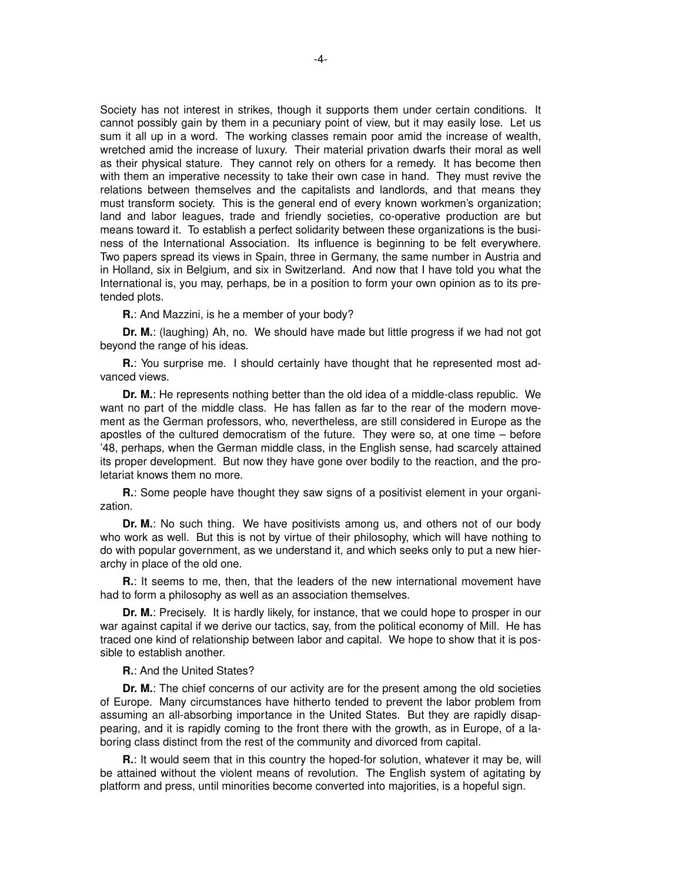Society has not interest in strikes, though it supports them under certain conditions. It cannot possibly gain by them in a pecuniary point of view, but it may easily lose. Let us sum it all up in a word. The working classes remain poor amid the increase of wealth, wretched amid the increase of luxury. Their material privation dwarfs their moral as well as their physical stature. They cannot rely on others for a remedy. It has become then with them an imperative necessity to take their own case in hand. They must revive the relations between themselves and the capitalists and landlords, and that means they must transform society. This is the general end of every known workmen's organization; land and labor leagues, trade and friendly societies, co-operative production are but means toward it. To establish a perfect solidarity between these organizations is the business of the International Association. Its influence is beginning to be felt everywhere. Two papers spread its views in Spain, three in Germany, the same number in Austria and in Holland, six in Belgium, and six in Switzerland. And now that I have told you what the International is, you may, perhaps, be in a position to form your own opinion as to its pretended plots.

**R.**: And Mazzini, is he a member of your body?

**Dr. M.**: (laughing) Ah, no. We should have made but little progress if we had not got beyond the range of his ideas.

**R.**: You surprise me. I should certainly have thought that he represented most advanced views.

**Dr. M.**: He represents nothing better than the old idea of a middle-class republic. We want no part of the middle class. He has fallen as far to the rear of the modern movement as the German professors, who, nevertheless, are still considered in Europe as the apostles of the cultured democratism of the future. They were so, at one time – before '48, perhaps, when the German middle class, in the English sense, had scarcely attained its proper development. But now they have gone over bodily to the reaction, and the proletariat knows them no more.

**R.**: Some people have thought they saw signs of a positivist element in your organization.

**Dr. M.**: No such thing. We have positivists among us, and others not of our body who work as well. But this is not by virtue of their philosophy, which will have nothing to do with popular government, as we understand it, and which seeks only to put a new hierarchy in place of the old one.

**R.**: It seems to me, then, that the leaders of the new international movement have had to form a philosophy as well as an association themselves.

**Dr. M.**: Precisely. It is hardly likely, for instance, that we could hope to prosper in our war against capital if we derive our tactics, say, from the political economy of Mill. He has traced one kind of relationship between labor and capital. We hope to show that it is possible to establish another.

**R.**: And the United States?

**Dr. M.**: The chief concerns of our activity are for the present among the old societies of Europe. Many circumstances have hitherto tended to prevent the labor problem from assuming an all-absorbing importance in the United States. But they are rapidly disappearing, and it is rapidly coming to the front there with the growth, as in Europe, of a laboring class distinct from the rest of the community and divorced from capital.

**R.**: It would seem that in this country the hoped-for solution, whatever it may be, will be attained without the violent means of revolution. The English system of agitating by platform and press, until minorities become converted into majorities, is a hopeful sign.